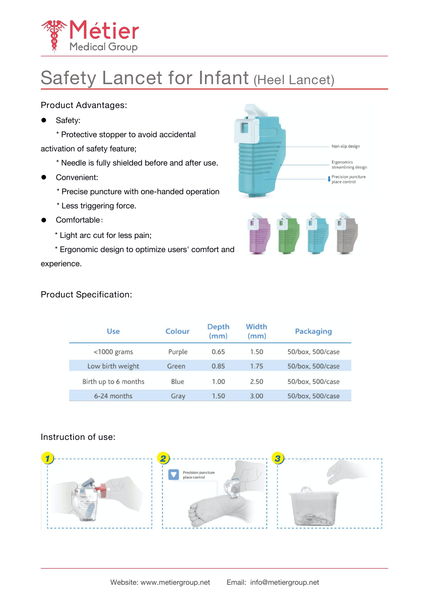

# Safety Lancet for Infant (Heel Lancet)

### Product Advantages:

Safety:

\* Protective stopper to avoid accidental activation of safety feature;

- \* Needle is fully shielded before and after use.
- **•** Convenient:
	- \* Precise puncture with one-handed operation
	- \* Less triggering force.
- Comfortable:
	- \* Light arc cut for less pain;
- \* Ergonomic design to optimize users' comfort and experience.



#### Product Specification:

| Use                  | Colour | Depth<br>(mm) | Width<br>(mm) | <b>Packaging</b> |
|----------------------|--------|---------------|---------------|------------------|
| $<$ 1000 grams       | Purple | 0.65          | 1.50          | 50/box, 500/case |
| Low birth weight     | Green  | 0.85          | 1.75          | 50/box, 500/case |
| Birth up to 6 months | Blue   | 1.00          | 2.50          | 50/box, 500/case |
| 6-24 months          | Gray   | 1.50          | 3.00          | 50/box, 500/case |

#### Instruction of use:

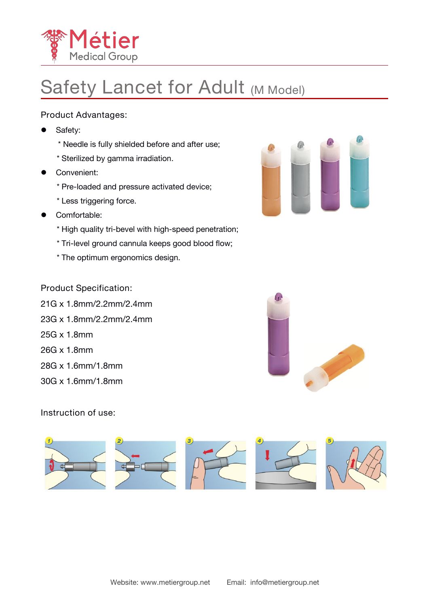

### **Safety Lancet for Adult (M Model)**

Product Advantages:

- Safety:
	- \* Needle is fully shielded before and after use;
	- \* Sterilized by gamma irradiation.
- **•** Convenient:
	- \* Pre-loaded and pressure activated device;
	- \* Less triggering force.
- **Comfortable:** 
	- \* High quality tri-bevel with high-speed penetration;
	- \* Tri-level ground cannula keeps good blood flow;
	- \* The optimum ergonomics design.



Product Specification:

- 21G x 1.8mm/2.2mm/2.4mm 23G x 1.8mm/2.2mm/2.4mm
- 25G x 1.8mm
- 26G x 1.8mm
- 28G x 1.6mm/1.8mm
- 30G x 1.6mm/1.8mm



Instruction of use: